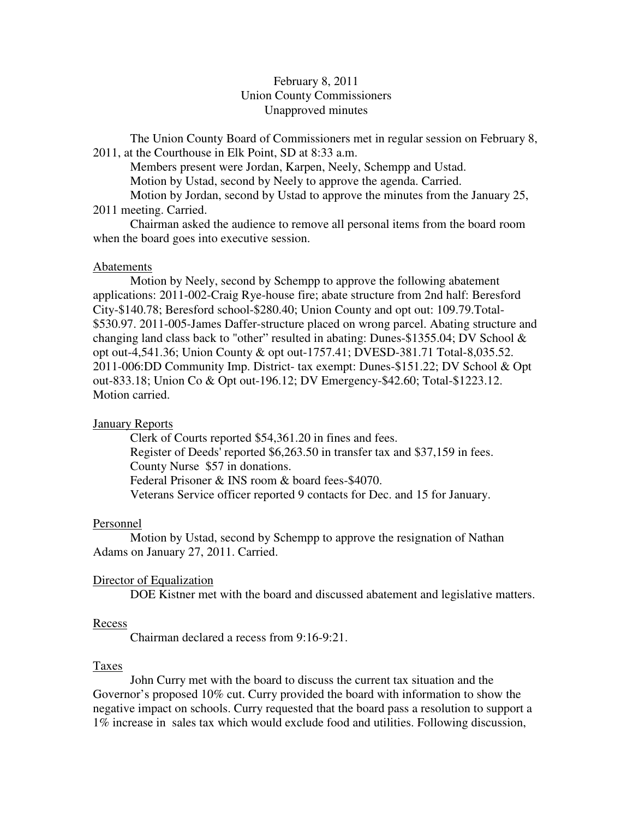# February 8, 2011 Union County Commissioners Unapproved minutes

The Union County Board of Commissioners met in regular session on February 8, 2011, at the Courthouse in Elk Point, SD at 8:33 a.m.

 Members present were Jordan, Karpen, Neely, Schempp and Ustad. Motion by Ustad, second by Neely to approve the agenda. Carried.

 Motion by Jordan, second by Ustad to approve the minutes from the January 25, 2011 meeting. Carried.

 Chairman asked the audience to remove all personal items from the board room when the board goes into executive session.

## Abatements

 Motion by Neely, second by Schempp to approve the following abatement applications: 2011-002-Craig Rye-house fire; abate structure from 2nd half: Beresford City-\$140.78; Beresford school-\$280.40; Union County and opt out: 109.79.Total- \$530.97. 2011-005-James Daffer-structure placed on wrong parcel. Abating structure and changing land class back to "other" resulted in abating: Dunes-\$1355.04; DV School & opt out-4,541.36; Union County & opt out-1757.41; DVESD-381.71 Total-8,035.52. 2011-006:DD Community Imp. District- tax exempt: Dunes-\$151.22; DV School & Opt out-833.18; Union Co & Opt out-196.12; DV Emergency-\$42.60; Total-\$1223.12. Motion carried.

# **January Reports**

 Clerk of Courts reported \$54,361.20 in fines and fees. Register of Deeds' reported \$6,263.50 in transfer tax and \$37,159 in fees. County Nurse \$57 in donations. Federal Prisoner & INS room & board fees-\$4070. Veterans Service officer reported 9 contacts for Dec. and 15 for January.

#### Personnel

 Motion by Ustad, second by Schempp to approve the resignation of Nathan Adams on January 27, 2011. Carried.

# Director of Equalization

DOE Kistner met with the board and discussed abatement and legislative matters.

#### Recess

Chairman declared a recess from 9:16-9:21.

### Taxes

 John Curry met with the board to discuss the current tax situation and the Governor's proposed 10% cut. Curry provided the board with information to show the negative impact on schools. Curry requested that the board pass a resolution to support a 1% increase in sales tax which would exclude food and utilities. Following discussion,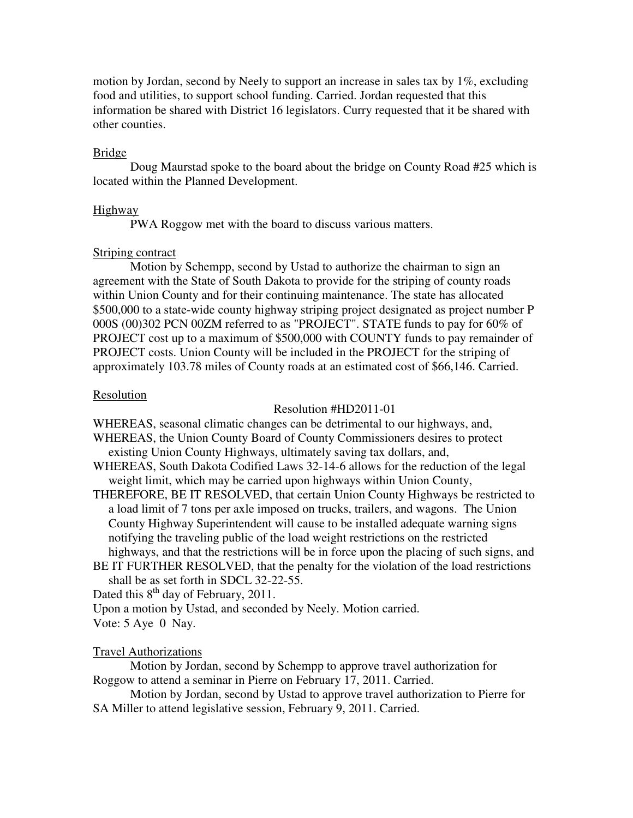motion by Jordan, second by Neely to support an increase in sales tax by  $1\%$ , excluding food and utilities, to support school funding. Carried. Jordan requested that this information be shared with District 16 legislators. Curry requested that it be shared with other counties.

# Bridge

 Doug Maurstad spoke to the board about the bridge on County Road #25 which is located within the Planned Development.

## Highway

PWA Roggow met with the board to discuss various matters.

# Striping contract

 Motion by Schempp, second by Ustad to authorize the chairman to sign an agreement with the State of South Dakota to provide for the striping of county roads within Union County and for their continuing maintenance. The state has allocated \$500,000 to a state-wide county highway striping project designated as project number P 000S (00)302 PCN 00ZM referred to as "PROJECT". STATE funds to pay for 60% of PROJECT cost up to a maximum of \$500,000 with COUNTY funds to pay remainder of PROJECT costs. Union County will be included in the PROJECT for the striping of approximately 103.78 miles of County roads at an estimated cost of \$66,146. Carried.

## Resolution

### Resolution #HD2011-01

WHEREAS, seasonal climatic changes can be detrimental to our highways, and,

WHEREAS, the Union County Board of County Commissioners desires to protect existing Union County Highways, ultimately saving tax dollars, and,

- WHEREAS, South Dakota Codified Laws 32-14-6 allows for the reduction of the legal weight limit, which may be carried upon highways within Union County,
- THEREFORE, BE IT RESOLVED, that certain Union County Highways be restricted to a load limit of 7 tons per axle imposed on trucks, trailers, and wagons. The Union County Highway Superintendent will cause to be installed adequate warning signs notifying the traveling public of the load weight restrictions on the restricted highways, and that the restrictions will be in force upon the placing of such signs, and
- BE IT FURTHER RESOLVED, that the penalty for the violation of the load restrictions shall be as set forth in SDCL 32-22-55.

Dated this  $8<sup>th</sup>$  day of February, 2011.

Upon a motion by Ustad, and seconded by Neely. Motion carried.

Vote: 5 Aye 0 Nay.

# Travel Authorizations

 Motion by Jordan, second by Schempp to approve travel authorization for Roggow to attend a seminar in Pierre on February 17, 2011. Carried.

 Motion by Jordan, second by Ustad to approve travel authorization to Pierre for SA Miller to attend legislative session, February 9, 2011. Carried.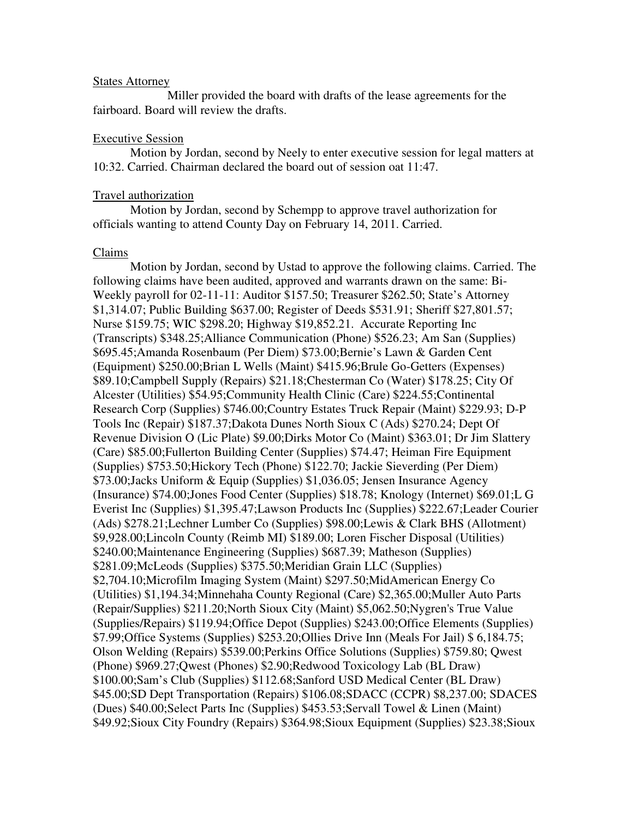#### States Attorney

 Miller provided the board with drafts of the lease agreements for the fairboard. Board will review the drafts.

#### Executive Session

 Motion by Jordan, second by Neely to enter executive session for legal matters at 10:32. Carried. Chairman declared the board out of session oat 11:47.

#### Travel authorization

 Motion by Jordan, second by Schempp to approve travel authorization for officials wanting to attend County Day on February 14, 2011. Carried.

#### Claims

 Motion by Jordan, second by Ustad to approve the following claims. Carried. The following claims have been audited, approved and warrants drawn on the same: Bi-Weekly payroll for 02-11-11: Auditor \$157.50; Treasurer \$262.50; State's Attorney \$1,314.07; Public Building \$637.00; Register of Deeds \$531.91; Sheriff \$27,801.57; Nurse \$159.75; WIC \$298.20; Highway \$19,852.21. Accurate Reporting Inc (Transcripts) \$348.25;Alliance Communication (Phone) \$526.23; Am San (Supplies) \$695.45;Amanda Rosenbaum (Per Diem) \$73.00;Bernie's Lawn & Garden Cent (Equipment) \$250.00;Brian L Wells (Maint) \$415.96;Brule Go-Getters (Expenses) \$89.10;Campbell Supply (Repairs) \$21.18;Chesterman Co (Water) \$178.25; City Of Alcester (Utilities) \$54.95;Community Health Clinic (Care) \$224.55;Continental Research Corp (Supplies) \$746.00;Country Estates Truck Repair (Maint) \$229.93; D-P Tools Inc (Repair) \$187.37;Dakota Dunes North Sioux C (Ads) \$270.24; Dept Of Revenue Division O (Lic Plate) \$9.00;Dirks Motor Co (Maint) \$363.01; Dr Jim Slattery (Care) \$85.00;Fullerton Building Center (Supplies) \$74.47; Heiman Fire Equipment (Supplies) \$753.50;Hickory Tech (Phone) \$122.70; Jackie Sieverding (Per Diem) \$73.00;Jacks Uniform & Equip (Supplies) \$1,036.05; Jensen Insurance Agency (Insurance) \$74.00;Jones Food Center (Supplies) \$18.78; Knology (Internet) \$69.01;L G Everist Inc (Supplies) \$1,395.47;Lawson Products Inc (Supplies) \$222.67;Leader Courier (Ads) \$278.21;Lechner Lumber Co (Supplies) \$98.00;Lewis & Clark BHS (Allotment) \$9,928.00;Lincoln County (Reimb MI) \$189.00; Loren Fischer Disposal (Utilities) \$240.00;Maintenance Engineering (Supplies) \$687.39; Matheson (Supplies) \$281.09;McLeods (Supplies) \$375.50;Meridian Grain LLC (Supplies) \$2,704.10;Microfilm Imaging System (Maint) \$297.50;MidAmerican Energy Co (Utilities) \$1,194.34;Minnehaha County Regional (Care) \$2,365.00;Muller Auto Parts (Repair/Supplies) \$211.20;North Sioux City (Maint) \$5,062.50;Nygren's True Value (Supplies/Repairs) \$119.94;Office Depot (Supplies) \$243.00;Office Elements (Supplies) \$7.99;Office Systems (Supplies) \$253.20;Ollies Drive Inn (Meals For Jail) \$ 6,184.75; Olson Welding (Repairs) \$539.00;Perkins Office Solutions (Supplies) \$759.80; Qwest (Phone) \$969.27;Qwest (Phones) \$2.90;Redwood Toxicology Lab (BL Draw) \$100.00;Sam's Club (Supplies) \$112.68;Sanford USD Medical Center (BL Draw) \$45.00;SD Dept Transportation (Repairs) \$106.08;SDACC (CCPR) \$8,237.00; SDACES (Dues) \$40.00;Select Parts Inc (Supplies) \$453.53;Servall Towel & Linen (Maint) \$49.92;Sioux City Foundry (Repairs) \$364.98;Sioux Equipment (Supplies) \$23.38;Sioux